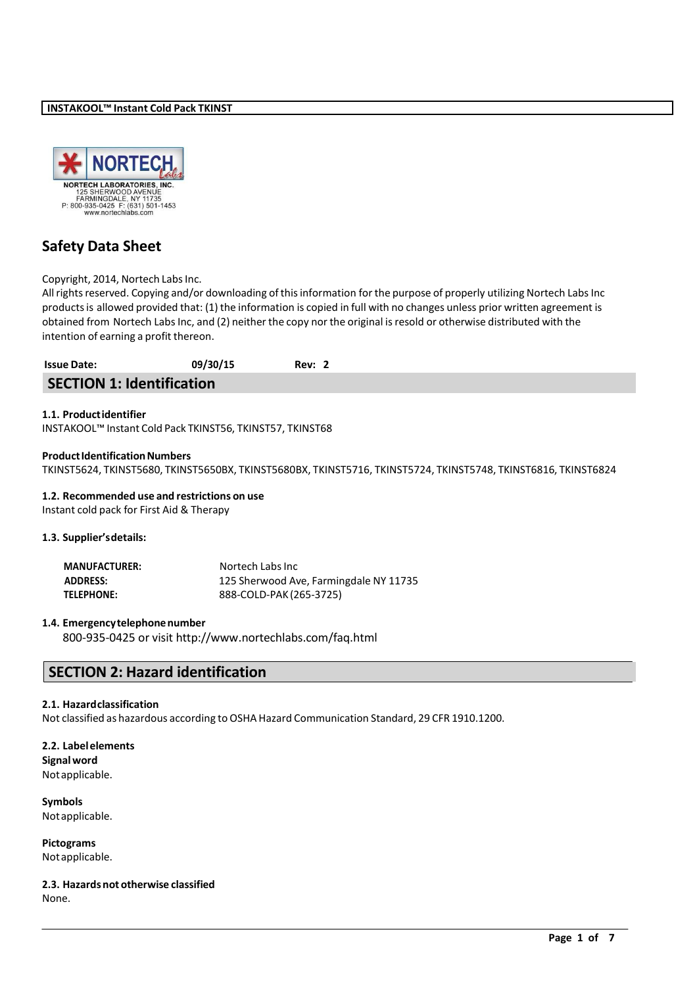

# **Safety Data Sheet**

## Copyright, 2014, Nortech Labs Inc.

All rights reserved. Copying and/or downloading of this information for the purpose of properly utilizing Nortech Labs Inc productsis allowed provided that: (1) the information is copied in full with no changes unless prior written agreement is obtained from Nortech Labs Inc, and (2) neither the copy nor the original is resold or otherwise distributed with the intention of earning a profit thereon.

| <b>Issue Date:</b>               | 09/30/15 | Rev: 2 |  |
|----------------------------------|----------|--------|--|
| <b>SECTION 1: Identification</b> |          |        |  |

## **1.1. Productidentifier**

INSTAKOOL™ Instant Cold Pack TKINST56, TKINST57, TKINST68

## **Product Identification Numbers**

TKINST5624, TKINST5680, TKINST5650BX, TKINST5680BX, TKINST5716, TKINST5724, TKINST5748, TKINST6816, TKINST6824

#### **1.2. Recommended use and restrictions on use**

Instant cold pack for First Aid & Therapy

## **1.3. Supplier'sdetails:**

| <b>MANUFACTURER:</b> | Nortech Labs Inc                       |
|----------------------|----------------------------------------|
| <b>ADDRESS:</b>      | 125 Sherwood Ave, Farmingdale NY 11735 |
| <b>TELEPHONE:</b>    | 888-COLD-PAK (265-3725)                |

#### **1.4. Emergencytelephonenumber**

800-935-0425 or visit <http://www.nortechlabs.com/faq.html>

# **SECTION 2: Hazard identification**

#### **2.1. Hazardclassification**

Not classified as hazardous according to OSHA Hazard Communication Standard, 29 CFR 1910.1200.

**2.2. Labelelements Signalword** Notapplicable.

**Symbols** Notapplicable.

**Pictograms** Notapplicable.

**2.3. Hazardsnot otherwise classified** None.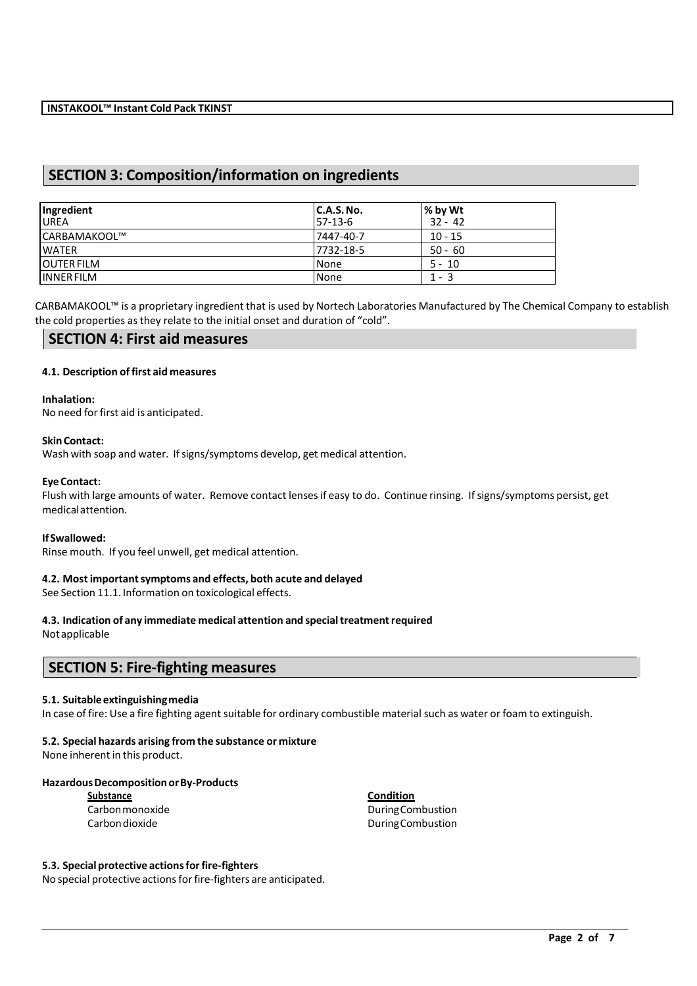# **SECTION 3: Composition/information on ingredients**

| Ingredient<br><b>UREA</b> | C.A.S. No.<br>$57-13-6$ | % by Wt<br>$32 - 42$ |
|---------------------------|-------------------------|----------------------|
| ICARBAMAKOOL™             | 7447-40-7               | $10 - 15$            |
| <b>WATER</b>              | 7732-18-5               | $50 - 60$            |
| <b>JOUTER FILM</b>        | None                    | $5 - 10$             |
| <b>INNER FILM</b>         | None                    | $1 - 3$              |

CARBAMAKOOL™ is a proprietary ingredient that is used by Nortech Laboratories Manufactured by The Chemical Company to establish the cold properties as they relate to the initial onset and duration of "cold".

## **SECTION 4: First aid measures**

## **4.1. Description offirst aid measures**

## **Inhalation:**

No need for first aid is anticipated.

## **SkinContact:**

Wash with soap and water. If signs/symptoms develop, get medical attention.

## **EyeContact:**

Flush with large amounts of water. Remove contact lensesif easy to do. Continue rinsing. Ifsigns/symptoms persist, get medicalattention.

## **IfSwallowed:**

Rinse mouth. If you feel unwell, get medical attention.

## **4.2. Most importantsymptoms and effects, both acute and delayed**

See Section 11.1. Information on toxicological effects.

# **4.3. Indication of any immediate medical attention and specialtreatmentrequired**

Notapplicable

## **SECTION 5: Fire-fighting measures**

#### **5.1. Suitableextinguishingmedia**

In case of fire: Use a fire fighting agent suitable for ordinary combustible material such as water or foam to extinguish.

## **5.2. Special hazards arising from the substance or mixture**

None inherent in this product.

## **HazardousDecompositionorBy-Products**

**Substance Condition**

Carbonmonoxide DuringCombustion DuringCombustion

## **5.3. Specialprotective actionsforfire-fighters**

No special protective actions for fire-fighters are anticipated.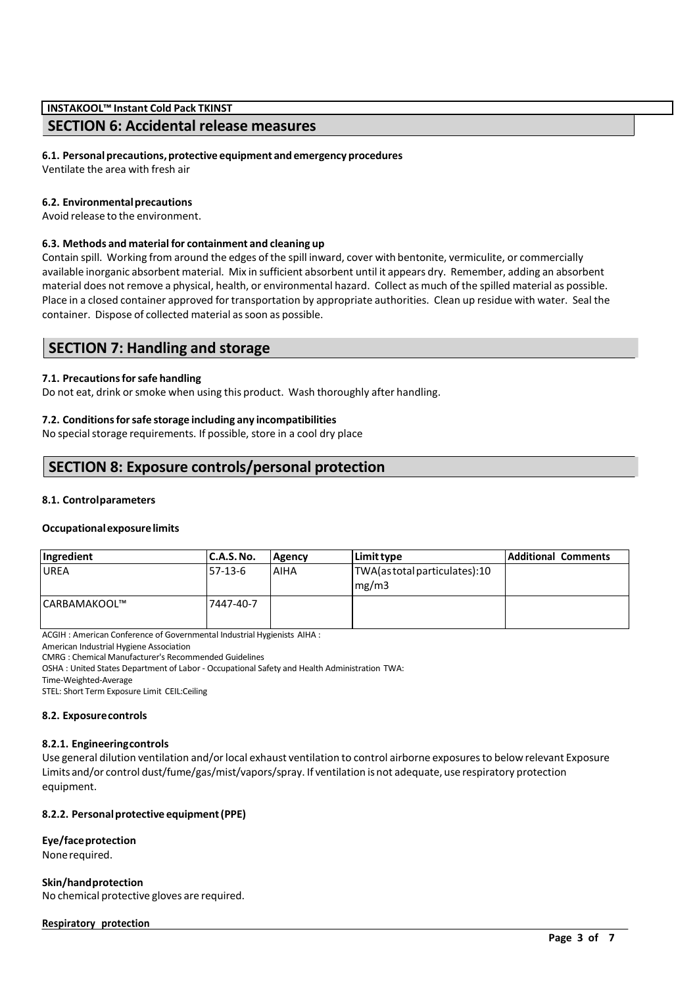# **SECTION 6: Accidental release measures**

## **6.1. Personalprecautions,protective equipment and emergency procedures**

Ventilate the area with fresh air

## **6.2. Environmentalprecautions**

Avoid release to the environment.

## **6.3. Methods and material for containment and cleaning up**

Contain spill. Working from around the edges of the spill inward, cover with bentonite, vermiculite, or commercially available inorganic absorbent material. Mix in sufficient absorbent until it appears dry. Remember, adding an absorbent material does not remove a physical, health, or environmental hazard. Collect as much of the spilled material as possible. Place in a closed container approved for transportation by appropriate authorities. Clean up residue with water. Seal the container. Dispose of collected material as soon as possible.

# **SECTION 7: Handling and storage**

## **7.1. Precautionsforsafe handling**

Do not eat, drink or smoke when using this product. Wash thoroughly after handling.

## **7.2. Conditionsforsafe storage including any incompatibilities**

No special storage requirements. If possible, store in a cool dry place

# **SECTION 8: Exposure controls/personal protection**

## **8.1. Controlparameters**

#### **Occupationalexposurelimits**

| Ingredient    | C.A.S.No. | <b>Agency</b> | Limit type                             | <b>Additional Comments</b> |
|---------------|-----------|---------------|----------------------------------------|----------------------------|
| <b>UREA</b>   | 57-13-6   | AIHA          | TWA(as total particulates):10<br>mg/m3 |                            |
| lCARBAMAKOOL™ | 7447-40-7 |               |                                        |                            |

ACGIH : American Conference of Governmental Industrial Hygienists AIHA :

American Industrial Hygiene Association

CMRG : Chemical Manufacturer's Recommended Guidelines

OSHA : United States Department of Labor - Occupational Safety and Health Administration TWA:

Time-Weighted-Average

STEL: Short Term Exposure Limit CEIL:Ceiling

#### **8.2. Exposurecontrols**

#### **8.2.1. Engineeringcontrols**

Use general dilution ventilation and/orlocal exhaust ventilation to control airborne exposuresto below relevant Exposure Limits and/or control dust/fume/gas/mist/vapors/spray. If ventilation is not adequate, use respiratory protection equipment.

## **8.2.2. Personalprotective equipment(PPE)**

**Eye/faceprotection** Nonerequired.

**Skin/handprotection** No chemical protective gloves are required.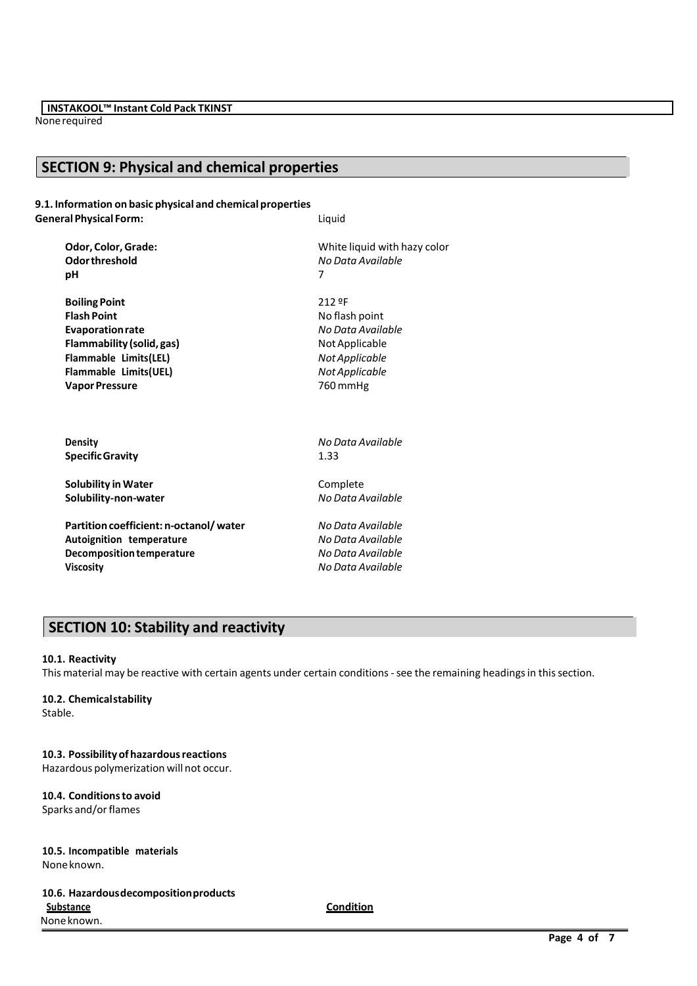Nonerequired

# **SECTION 9: Physical and chemical properties**

**9.1. Information on basic physical and chemical properties General Physical Form:** Liquid

| Odor, Color, Grade:                    | White liquid with hazy color |
|----------------------------------------|------------------------------|
| Odor threshold                         | No Data Available            |
| рH                                     | 7                            |
| <b>Boiling Point</b>                   | 212 ºF                       |
| <b>Flash Point</b>                     | No flash point               |
| <b>Evaporation rate</b>                | No Data Available            |
| Flammability (solid, gas)              | Not Applicable               |
| Flammable Limits(LEL)                  | Not Applicable               |
| Flammable Limits(UEL)                  | Not Applicable               |
| <b>Vapor Pressure</b>                  | 760 mmHg                     |
| <b>Density</b>                         | No Data Available            |
| <b>Specific Gravity</b>                | 1.33                         |
| <b>Solubility in Water</b>             | Complete                     |
| Solubility-non-water                   | No Data Available            |
| Partition coefficient: n-octanol/water | No Data Available            |
| Autoignition temperature               | No Data Available            |
| Decomposition temperature              | No Data Available            |

**Viscosity** *No Data Available*

# **SECTION 10: Stability and reactivity**

## **10.1. Reactivity**

This material may be reactive with certain agents under certain conditions - see the remaining headings in this section.

## **10.2. Chemicalstability**

Stable.

**10.3. Possibilityofhazardousreactions** Hazardous polymerization will not occur.

**10.4. Conditionsto avoid** Sparks and/or flames

**10.5. Incompatible materials** Noneknown.

**10.6. Hazardousdecompositionproducts Substance Condition** None known.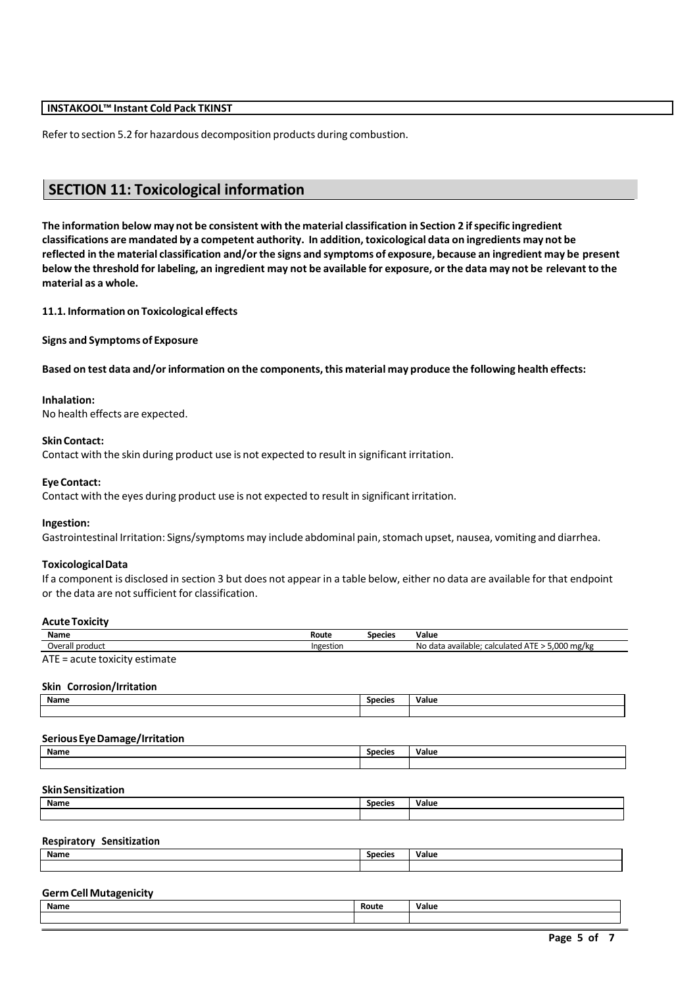Refer to section 5.2 for hazardous decomposition products during combustion.

# **SECTION 11: Toxicological information**

**The information below may not be consistent with the material classification in Section 2 ifspecific ingredient** classifications are mandated by a competent authority. In addition, toxicological data on ingredients may not be reflected in the material classification and/or the signs and symptoms of exposure, because an ingredient may be present below the threshold for labeling, an ingredient may not be available for exposure, or the data may not be relevant to the **material as a whole.**

**11.1. Information on Toxicological effects**

**Signs and Symptoms of Exposure**

**Based on test data and/orinformation on the components,this material may produce the following health effects:**

#### **Inhalation:**

No health effects are expected.

## **SkinContact:**

Contact with the skin during product use is not expected to result in significant irritation.

## **EyeContact:**

Contact with the eyes during product use is not expected to result in significant irritation.

#### **Ingestion:**

Gastrointestinal Irritation: Signs/symptoms may include abdominal pain, stomach upset, nausea, vomiting and diarrhea.

#### **ToxicologicalData**

If a component is disclosed in section 3 but does not appear in a table below, either no data are available for that endpoint or the data are not sufficient for classification.

## **AcuteToxicity**

| Name                | Route     | Species | Value                                                                    |
|---------------------|-----------|---------|--------------------------------------------------------------------------|
| product<br>Jveral'  | Ingestion |         | 5.000 mg/kg<br>ATF<br>. No data<br>calculated<br>. available:<br>™ A I L |
| $ATT = \frac{1}{2}$ |           |         |                                                                          |

ATE = acute toxicity estimate

## **Skin Corrosion/Irritation**

| Name | <b>Species</b> | . .<br>Value |
|------|----------------|--------------|
|      |                |              |

#### **SeriousEyeDamage/Irritation**

| Name | <b>Species</b> | Value |
|------|----------------|-------|
|      |                |       |

## **SkinSensitization**

| Name | Species | Value |
|------|---------|-------|
|      |         |       |
|      |         |       |

## **Respiratory Sensitization**

| Name | Species | Value |
|------|---------|-------|
|      |         |       |

## **Germ CellMutagenicity**

| Name | Route | . .<br>Value |
|------|-------|--------------|
|      |       |              |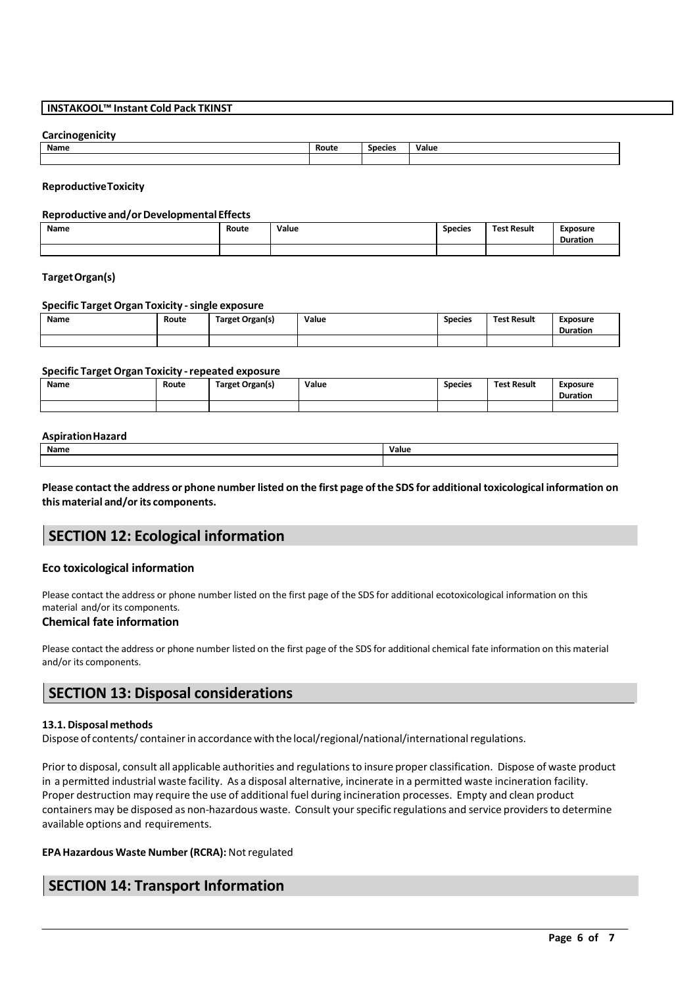## **Carcinogenicity**

| Name | Route | <b>Species</b> | Value |
|------|-------|----------------|-------|
|      |       |                |       |

#### **ReproductiveToxicity**

#### **Reproductive and/orDevelopmentalEffects**

| Name | Route<br>. | Value<br>. | <b>Species</b> | <b>Test Result</b> | <b>Exposure</b><br>Duration |
|------|------------|------------|----------------|--------------------|-----------------------------|
|      |            |            |                |                    |                             |

### **TargetOrgan(s)**

#### **Specific Target Organ Toxicity -single exposure**

| Name | Route | Target Organ(s) | Value<br>. | <b>Species</b> | <b>Test Result</b> | <b>Exposure</b> |
|------|-------|-----------------|------------|----------------|--------------------|-----------------|
|      |       |                 |            |                |                    | <b>Duration</b> |
|      |       |                 |            |                |                    |                 |

#### **Specific Target Organ Toxicity -repeated exposure**

| Name<br>_____ | Route | Target Organ(s) | Value | <b>Species</b> | <b>Test Result</b> | Exposure<br><b>Duration</b> |
|---------------|-------|-----------------|-------|----------------|--------------------|-----------------------------|
|               |       |                 |       |                |                    |                             |

#### **AspirationHazard**

| Name | Value |
|------|-------|
|      |       |

Please contact the address or phone number listed on the first page of the SDS for additional toxicological information on **this material and/orits components.**

# **SECTION 12: Ecological information**

## **Eco toxicological information**

Please contact the address or phone number listed on the first page of the SDS for additional ecotoxicological information on this material and/or its components.

#### **Chemical fate information**

Please contact the address or phone number listed on the first page of the SDS for additional chemical fate information on this material and/or its components.

# **SECTION 13: Disposal considerations**

#### **13.1.Disposal methods**

Dispose of contents/ container in accordance with the local/regional/national/international regulations.

Prior to disposal, consult all applicable authorities and regulations to insure proper classification. Dispose of waste product in a permitted industrial waste facility. As a disposal alternative, incinerate in a permitted waste incineration facility. Proper destruction may require the use of additional fuel during incineration processes. Empty and clean product containers may be disposed as non-hazardous waste. Consult your specific regulations and service providers to determine available options and requirements.

## **EPAHazardous Waste Number (RCRA):** Notregulated

# **SECTION 14: Transport Information**